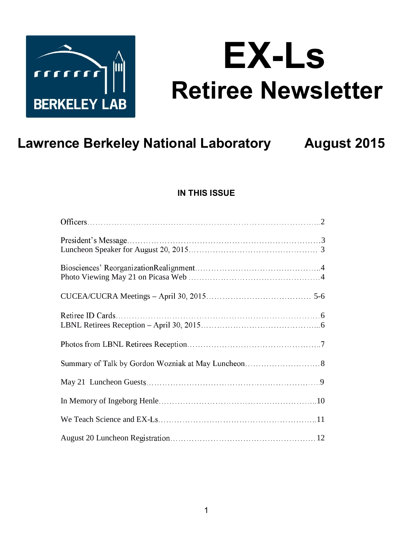

# **EX-Ls Retiree Newsletter**

## **Lawrence Berkeley National Laboratory**

**August 2015** 

## **IN THIS ISSUE**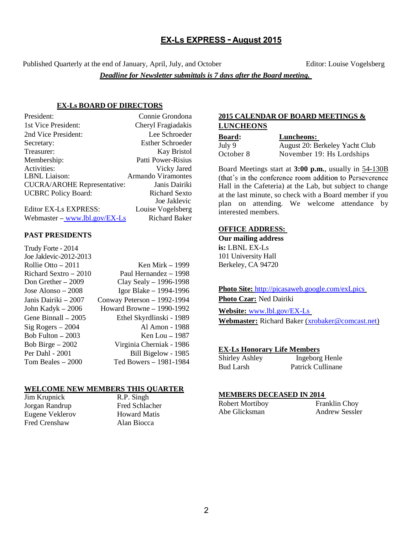#### EX-Ls EXPRESS - August 2015

Published Quarterly at the end of January, April, July, and October Editor: Louise Vogelsberg

*Deadline for Newsletter submittals is 7 days after the Board meeting.* 

#### **EX-Ls BOARD OF DIRECTORS**

| President:                         | Connie Grondona         |
|------------------------------------|-------------------------|
| 1st Vice President:                | Cheryl Fragiadakis      |
| 2nd Vice President:                | Lee Schroeder           |
| Secretary:                         | <b>Esther Schroeder</b> |
| Treasurer:                         | <b>Kay Bristol</b>      |
| Membership:                        | Patti Power-Risius      |
| Activities:                        | Vicky Jared             |
| LBNL Liaison:                      | Armando Viramontes      |
| <b>CUCRA/AROHE Representative:</b> | Janis Dairiki           |
| <b>UCBRC</b> Policy Board:         | Richard Sexto           |
|                                    | Joe Jaklevic            |
| <b>Editor EX-Ls EXPRESS:</b>       | Louise Vogelsberg       |
| Webmaster – www.lbl.gov/ $EX$ -Ls  | <b>Richard Baker</b>    |

#### **PAST PRESIDENTS**

| Trudy Forte - 2014     |                             |
|------------------------|-----------------------------|
| Joe Jaklevic-2012-2013 |                             |
| Rollie Otto $-2011$    | Ken Mirk - 1999             |
| Richard Sextro - 2010  | Paul Hernandez - 1998       |
| Don Grether $-2009$    | Clay Sealy $-$ 1996-1998    |
| Jose Alonso – 2008     | Igor Blake $-$ 1994-1996    |
| Janis Dairiki – 2007   | Conway Peterson - 1992-1994 |
| John Kadyk $-2006$     | Howard Browne $-1990-1992$  |
| Gene Binnall – 2005    | Ethel Skyrdlinski - 1989    |
| $Sig Rogers - 2004$    | Al Amon - 1988              |
| Bob Fulton $-2003$     | Ken Lou $-1987$             |
| Bob Birge $-2002$      | Virginia Cherniak - 1986    |
| Per Dahl - 2001        | Bill Bigelow - 1985         |
| Tom Beales $-2000$     | Ted Bowers - 1981-1984      |
|                        |                             |

#### **WELCOME NEW MEMBERS THIS QUARTER**

Jim Krupnick R.P. Singh Jorgan Randrup Fred Schlacher Eugene Veklerov Howard Matis Fred Crenshaw Alan Biocca

#### **2015 CALENDAR OF BOARD MEETINGS & LUNCHEONS**

| <u>Board:</u> | Luncheons:    |
|---------------|---------------|
| July 9        | August 20: Bo |
| October 8     | November 19   |

July 9 August 20: Berkeley Yacht Club October 8 November 19: Hs Lordships

Board Meetings start at **3:00 p.m.**, usually in 54-130B (that's in the conference room addition to Perseverence Hall in the Cafeteria) at the Lab, but subject to change at the last minute, so check with a Board member if you plan on attending. We welcome attendance by interested members.

#### **OFFICE ADDRESS:**

**Our mailing address is:** LBNL EX-Ls 101 University Hall Berkeley, CA 94720

**Photo Site:** http://picasaweb.google.com/exLpics **Photo Czar:** Ned Dairiki

**Website:** www.lbl.gov/EX-Ls **Webmaster:** Richard Baker (xrobaker@comcast.net)

#### **EX-Ls Honorary Life Members**

| Shirley Ashley | Ingeborg Henle    |
|----------------|-------------------|
| Bud Larsh      | Patrick Cullinane |

#### **MEMBERS DECEASED IN 2014**

| <b>Robert Mortiboy</b> | Franklin Choy         |
|------------------------|-----------------------|
| Abe Glicksman          | <b>Andrew Sessler</b> |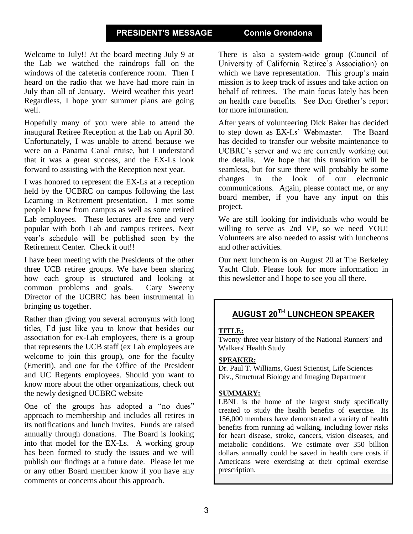#### PRESIDENT'S MESSAGE Connie Grondona

Welcome to July!! At the board meeting July 9 at the Lab we watched the raindrops fall on the windows of the cafeteria conference room. Then I heard on the radio that we have had more rain in July than all of January. Weird weather this year! Regardless, I hope your summer plans are going well.

Hopefully many of you were able to attend the inaugural Retiree Reception at the Lab on April 30. Unfortunately, I was unable to attend because we were on a Panama Canal cruise, but I understand that it was a great success, and the EX-Ls look forward to assisting with the Reception next year.

I was honored to represent the EX-Ls at a reception held by the UCBRC on campus following the last Learning in Retirement presentation. I met some people I knew from campus as well as some retired Lab employees. These lectures are free and very popular with both Lab and campus retirees. Next year's schedule will be published soon by the Retirement Center. Check it out!!

I have been meeting with the Presidents of the other three UCB retiree groups. We have been sharing how each group is structured and looking at common problems and goals. Cary Sweeny Director of the UCBRC has been instrumental in bringing us together.

Rather than giving you several acronyms with long titles, I'd just like you to know that besides our association for ex-Lab employees, there is a group that represents the UCB staff (ex Lab employees are welcome to join this group), one for the faculty (Emeriti), and one for the Office of the President and UC Regents employees. Should you want to know more about the other organizations, check out the newly designed UCBRC website

One of the groups has adopted a "no dues" approach to membership and includes all retires in its notifications and lunch invites. Funds are raised annually through donations. The Board is looking into that model for the EX-Ls. A working group has been formed to study the issues and we will publish our findings at a future date. Please let me or any other Board member know if you have any comments or concerns about this approach.

There is also a system-wide group (Council of University of California Retiree's Association) on which we have representation. This group's main mission is to keep track of issues and take action on behalf of retirees. The main focus lately has been on health care benefits. See Don Grether's report for more information.

After years of volunteering Dick Baker has decided to step down as EX-Ls' Webmaster. The Board has decided to transfer our website maintenance to UCBRC's server and we are currently working out the details. We hope that this transition will be seamless, but for sure there will probably be some changes in the look of our electronic communications. Again, please contact me, or any board member, if you have any input on this project.

We are still looking for individuals who would be willing to serve as 2nd VP, so we need YOU! Volunteers are also needed to assist with luncheons and other activities.

Our next luncheon is on August 20 at The Berkeley Yacht Club. Please look for more information in this newsletter and I hope to see you all there.

## AUGUST 20TH LUNCHEON SPEAKER

#### **TITLE:**

Twenty-three year history of the National Runners' and Walkers' Health Study

#### **SPEAKER:**

Dr. Paul T. Williams, Guest Scientist, Life Sciences Div., Structural Biology and Imaging Department

#### **SUMMARY:**

LBNL is the home of the largest study specifically created to study the health benefits of exercise. Its 156,000 members have demonstrated a variety of health benefits from running ad walking, including lower risks for heart disease, stroke, cancers, vision diseases, and metabolic conditions. We estimate over 350 billion dollars annually could be saved in health care costs if Americans were exercising at their optimal exercise prescription.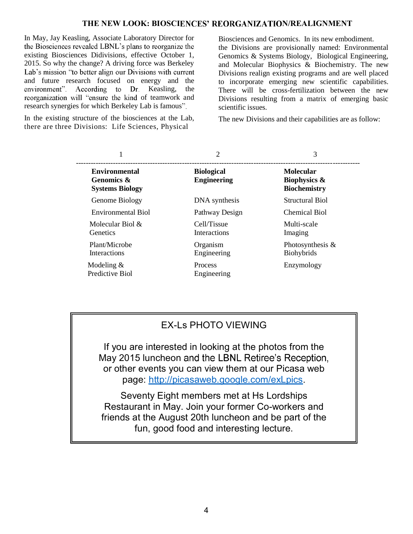#### THE NEW LOOK: BIOSCIENCES' REORGANIZATION/REALIGNMENT

In May, Jay Keasling, Associate Laboratory Director for the Biosciences revealed LBNL's plans to reorganize the existing Biosciences Didivisions, effective October 1, 2015. So why the change? A driving force was Berkeley Lab's mission "to better align our Divisions with current and future research focused on energy and the environment". According to Dr. Keasling. the reorganization will "ensure the kind of teamwork and research synergies for which Berkeley Lab is famous".

In the existing structure of the biosciences at the Lab, there are three Divisions: Life Sciences, Physical

Biosciences and Genomics. In its new embodiment. the Divisions are provisionally named: Environmental Genomics & Systems Biology, Biological Engineering, and Molecular Biophysics & Biochemistry. The new Divisions realign existing programs and are well placed to incorporate emerging new scientific capabilities. There will be cross-fertilization between the new Divisions resulting from a matrix of emerging basic scientific issues.

The new Divisions and their capabilities are as follow:

|                                                                         | $\overline{c}$                          | 3                                                                  |
|-------------------------------------------------------------------------|-----------------------------------------|--------------------------------------------------------------------|
| <b>Environmental</b><br><b>Genomics &amp;</b><br><b>Systems Biology</b> | <b>Biological</b><br><b>Engineering</b> | <b>Molecular</b><br><b>Biophysics &amp;</b><br><b>Biochemistry</b> |
| Genome Biology                                                          | DNA synthesis                           | Structural Biol                                                    |
| Environmental Biol                                                      | Pathway Design                          | Chemical Biol                                                      |
| Molecular Biol $\&$<br>Genetics                                         | Cell/Tissue<br><b>Interactions</b>      | Multi-scale<br>Imaging                                             |
| Plant/Microbe<br><b>Interactions</b>                                    | Organism<br>Engineering                 | Photosynthesis &<br><b>Biohybrids</b>                              |
| Modeling $&$<br>Predictive Biol                                         | Process<br>Engineering                  | Enzymology                                                         |

#### **EX-Ls PHOTO VIEWING**

If you are interested in looking at the photos from the May 2015 luncheon and the LBNL Retiree's Reception, or other events you can view them at our Picasa web page: http://picasaweb.google.com/exLpics.

Seventy Eight members met at Hs Lordships Restaurant in May. Join your former Co-workers and friends at the August 20th luncheon and be part of the fun, good food and interesting lecture.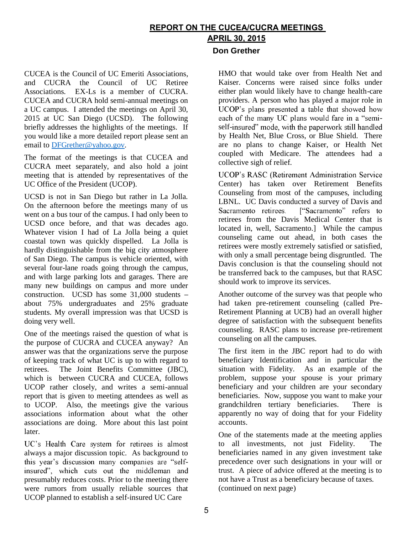## REPORT ON THE CUCEA/CUCRA MEETINGS APRIL 30, 2015

CUCEA is the Council of UC Emeriti Associations, and CUCRA the Council of UC Retiree Associations. EX-Ls is a member of CUCRA. CUCEA and CUCRA hold semi-annual meetings on a UC campus. I attended the meetings on April 30, 2015 at UC San Diego (UCSD). The following briefly addresses the highlights of the meetings. If you would like a more detailed report please sent an email to DFGrether@yahoo.gov.

The format of the meetings is that CUCEA and CUCRA meet separately, and also hold a joint meeting that is attended by representatives of the UC Office of the President (UCOP).

UCSD is not in San Diego but rather in La Jolla. On the afternoon before the meetings many of us went on a bus tour of the campus. I had only been to UCSD once before, and that was decades ago. Whatever vision I had of La Jolla being a quiet coastal town was quickly dispelled. La Jolla is hardly distinguishable from the big city atmosphere of San Diego. The campus is vehicle oriented, with several four-lane roads going through the campus, and with large parking lots and garages. There are many new buildings on campus and more under construction. UCSD has some 31,000 students about 75% undergraduates and 25% graduate students. My overall impression was that UCSD is doing very well.

One of the meetings raised the question of what is the purpose of CUCRA and CUCEA anyway? An answer was that the organizations serve the purpose of keeping track of what UC is up to with regard to retirees. The Joint Benefits Committee (JBC), which is between CUCRA and CUCEA, follows UCOP rather closely, and writes a semi-annual report that is given to meeting attendees as well as to UCOP. Also, the meetings give the various associations information about what the other associations are doing. More about this last point later.

UC's Health Care system for retirees is almost always a major discussion topic. As background to this year's discussion many companies are "selfinsured", which cuts out the middleman and presumably reduces costs. Prior to the meeting there were rumors from usually reliable sources that UCOP planned to establish a self-insured UC Care

**Don Grether** 

HMO that would take over from Health Net and Kaiser. Concerns were raised since folks under either plan would likely have to change health-care providers. A person who has played a major role in UCOP's plans presented a table that showed how each of the many UC plans would fare in a "semiself-insured" mode, with the paperwork still handled by Health Net, Blue Cross, or Blue Shield. There are no plans to change Kaiser, or Health Net coupled with Medicare. The attendees had a collective sigh of relief.

UCOP's RASC (Retirement Administration Service Center) has taken over Retirement Benefits Counseling from most of the campuses, including LBNL. UC Davis conducted a survey of Davis and Sacramento retirees. ["Sacramento" refers to retirees from the Davis Medical Center that is located in, well, Sacramento.] While the campus counseling came out ahead, in both cases the retirees were mostly extremely satisfied or satisfied, with only a small percentage being disgruntled. The Davis conclusion is that the counseling should not be transferred back to the campuses, but that RASC should work to improve its services.

Another outcome of the survey was that people who had taken pre-retirement counseling (called Pre-Retirement Planning at UCB) had an overall higher degree of satisfaction with the subsequent benefits counseling. RASC plans to increase pre-retirement counseling on all the campuses.

The first item in the JBC report had to do with beneficiary Identification and in particular the situation with Fidelity. As an example of the problem, suppose your spouse is your primary beneficiary and your children are your secondary beneficiaries. Now, suppose you want to make your grandchildren tertiary beneficiaries. There is apparently no way of doing that for your Fidelity accounts.

One of the statements made at the meeting applies to all investments, not just Fidelity. The beneficiaries named in any given investment take precedence over such designations in your will or trust. A piece of advice offered at the meeting is to not have a Trust as a beneficiary because of taxes. (continued on next page)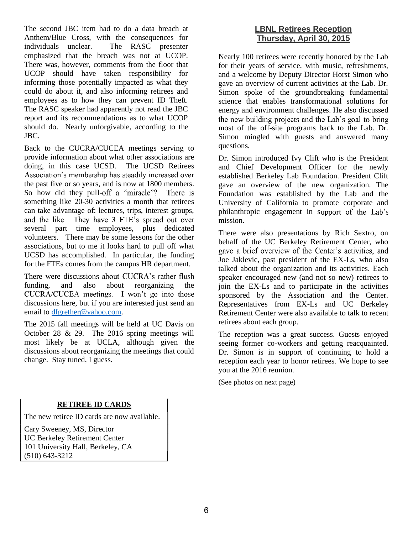The second JBC item had to do a data breach at Anthem/Blue Cross, with the consequences for individuals unclear. The RASC presenter emphasized that the breach was not at UCOP. There was, however, comments from the floor that UCOP should have taken responsibility for informing those potentially impacted as what they could do about it, and also informing retirees and employees as to how they can prevent ID Theft. The RASC speaker had apparently not read the JBC report and its recommendations as to what UCOP should do. Nearly unforgivable, according to the JBC.

Back to the CUCRA/CUCEA meetings serving to provide information about what other associations are doing, in this case UCSD. The UCSD Retirees Association's membership has steadily increased over the past five or so years, and is now at 1800 members. So how did they pull-off a "miracle"? There is something like 20-30 activities a month that retirees can take advantage of: lectures, trips, interest groups, and the like. They have 3 FTE's spread out over several part time employees, plus dedicated volunteers. There may be some lessons for the other associations, but to me it looks hard to pull off what UCSD has accomplished. In particular, the funding for the FTEs comes from the campus HR department.

There were discussions about CUCRA's rather flush funding, and also about reorganizing the CUCRA/CUCEA meetings. I won't go into those discussions here, but if you are interested just send an email to dfgrether@yahoo.com.

The 2015 fall meetings will be held at UC Davis on October 28 & 29. The 2016 spring meetings will most likely be at UCLA, although given the discussions about reorganizing the meetings that could change. Stay tuned, I guess.

#### **LBNL Retirees Reception Thursday, April 30, 2015**

Nearly 100 retirees were recently honored by the Lab for their years of service, with music, refreshments, and a welcome by Deputy Director Horst Simon who gave an overview of current activities at the Lab. Dr. Simon spoke of the groundbreaking fundamental science that enables transformational solutions for energy and environment challenges. He also discussed<br>the new building projects and the Lab's goal to bring most of the off-site programs back to the Lab. Dr. Simon mingled with guests and answered many questions.

Dr. Simon introduced Ivy Clift who is the President and Chief Development Officer for the newly established Berkeley Lab Foundation. President Clift gave an overview of the new organization. The Foundation was established by the Lab and the University of California to promote corporate and philanthropic engagement in support of the Lab's mission.

There were also presentations by Rich Sextro, on behalf of the UC Berkeley Retirement Center, who gave a brief overview of the Center's activities, and Joe Jaklevic, past president of the EX-Ls, who also talked about the organization and its activities. Each speaker encouraged new (and not so new) retirees to join the EX-Ls and to participate in the activities sponsored by the Association and the Center. Representatives from EX-Ls and UC Berkeley Retirement Center were also available to talk to recent retirees about each group.

The reception was a great success. Guests enjoyed seeing former co-workers and getting reacquainted. Dr. Simon is in support of continuing to hold a reception each year to honor retirees. We hope to see you at the 2016 reunion.

(See photos on next page)

#### **RETIREE ID CARDS**

The new retiree ID cards are now available.

Cary Sweeney, MS, Director UC Berkeley Retirement Center 101 University Hall, Berkeley, CA (510) 643-3212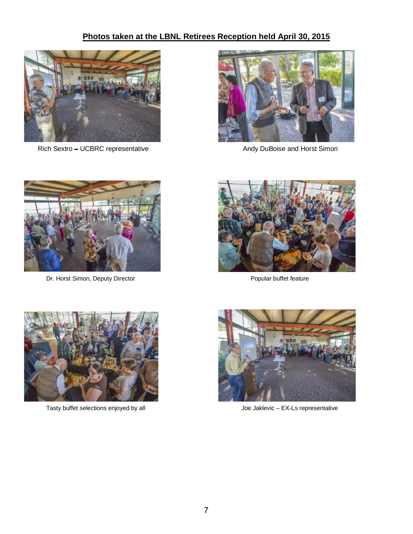### Photos taken at the LBNL Retirees Reception held April 30, 2015



Rich Sextro - UCBRC representative



Andy DuBoise and Horst Simon



Dr. Horst Simon, Deputy Director



Popular buffet feature



Tasty buffet selections enjoyed by all



Joe Jaklevic - EX-Ls representative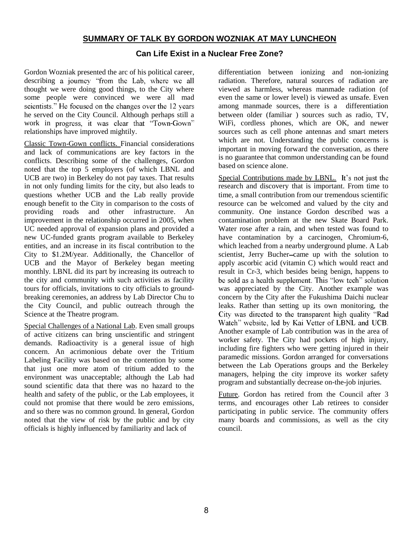#### **SUMMARY OF TALK BY GORDON WOZNIAK AT MAY LUNCHEON**

#### **Can Life Exist in a Nuclear Free Zone?**

Gordon Wozniak presented the arc of his political career, describing a journey "from the Lab, where we all thought we were doing good things, to the City where some people were convinced we were all mad scientists." He focused on the changes over the 12 years he served on the City Council. Although perhaps still a work in progress, it was clear that "Town-Gown" relationships have improved mightily.

Classic Town-Gown conflicts. Financial considerations and lack of communications are key factors in the conflicts. Describing some of the challenges, Gordon noted that the top 5 employers (of which LBNL and UCB are two) in Berkeley do not pay taxes. That results in not only funding limits for the city, but also leads to questions whether UCB and the Lab really provide enough benefit to the City in comparison to the costs of providing roads and other infrastructure. An improvement in the relationship occurred in 2005, when UC needed approval of expansion plans and provided a new UC-funded grants program available to Berkeley entities, and an increase in its fiscal contribution to the City to \$1.2M/year. Additionally, the Chancellor of UCB and the Mayor of Berkeley began meeting monthly. LBNL did its part by increasing its outreach to the city and community with such activities as facility tours for officials, invitations to city officials to groundbreaking ceremonies, an address by Lab Director Chu to the City Council, and public outreach through the Science at the Theatre program.

Special Challenges of a National Lab. Even small groups of active citizens can bring unscientific and stringent demands. Radioactivity is a general issue of high concern. An acrimonious debate over the Tritium Labeling Facility was based on the contention by some that just one more atom of tritium added to the environment was unacceptable; although the Lab had sound scientific data that there was no hazard to the health and safety of the public, or the Lab employees, it could not promise that there would be zero emissions, and so there was no common ground. In general, Gordon noted that the view of risk by the public and by city officials is highly influenced by familiarity and lack of

differentiation between ionizing and non-ionizing radiation. Therefore, natural sources of radiation are viewed as harmless, whereas manmade radiation (of even the same or lower level) is viewed as unsafe. Even among manmade sources, there is a differentiation between older (familiar ) sources such as radio, TV, WiFi, cordless phones, which are OK, and newer sources such as cell phone antennas and smart meters which are not. Understanding the public concerns is important in moving forward the conversation, as there is no guarantee that common understanding can be found based on science alone.

Special Contributions made by LBNL. It's not just the research and discovery that is important. From time to time, a small contribution from our tremendous scientific resource can be welcomed and valued by the city and community. One instance Gordon described was a contamination problem at the new Skate Board Park. Water rose after a rain, and when tested was found to have contamination by a carcinogen, Chromium-6, which leached from a nearby underground plume. A Lab scientist, Jerry Bucher-came up with the solution to apply ascorbic acid (vitamin C) which would react and result in Cr-3, which besides being benign, happens to be sold as a health supplement. This "low tech" solution was appreciated by the City. Another example was concern by the City after the Fukushima Daichi nuclear leaks. Rather than setting up its own monitoring, the City was directed to the transparent high quality "Rad Watch" website, led by Kai Vetter of LBNL and UCB. Another example of Lab contribution was in the area of worker safety. The City had pockets of high injury, including fire fighters who were getting injured in their paramedic missions. Gordon arranged for conversations between the Lab Operations groups and the Berkeley managers, helping the city improve its worker safety program and substantially decrease on-the-job injuries.

Future. Gordon has retired from the Council after 3 terms, and encourages other Lab retirees to consider participating in public service. The community offers many boards and commissions, as well as the city council.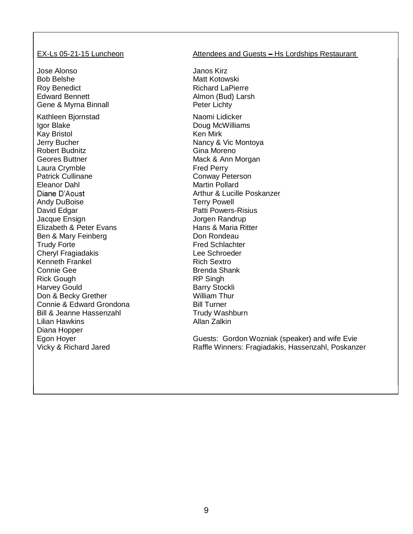Jose Alonso Janos Kirz Bob Belshe Matt Kotowski Roy Benedict **Richard LaPierre** Edward Bennett **Almon** (Bud) Larsh Gene & Myrna Binnall **Peter Lichty** Kathleen Bjornstad Naomi Lidicker Igor Blake Doug McWilliams Kay Bristol **Ken Mirk** Jerry Bucher Robert Budnitz Geores Buttner Laura Crymble Patrick Cullinane Eleanor Dahl Diane D'Aoust Andy DuBoise David Edgar **Patti Powers-Risius** Patti Powers-Risius Jacque Ensign Elizabeth & Peter Evans Ben & Mary Feinberg **Don Rondeau** Trudy Forte **Fred Schlachter** Cheryl Fragiadakis Kenneth Frankel Connie Gee Rick Gough Harvey Gould Don & Becky Grether Connie & Edward Grondona Bill Turner Bill & Jeanne Hassenzahl Trudy Washburn Lilian Hawkins Diana Hopper Egon Hoyer

#### EX-Ls 05-21-15 Luncheon Attendees and Guests - Hs Lordships Restaurant

Nancy & Vic Montoya Gina Moreno Mack & Ann Morgan Fred Perry Conway Peterson Martin Pollard Arthur & Lucille Poskanzer Terry Powell Jorgen Randrup Hans & Maria Ritter Lee Schroeder Rich Sextro Brenda Shank RP Singh Barry Stockli William Thur Allan Zalkin

Guests: Gordon Wozniak (speaker) and wife Evie Vicky & Richard Jared **Raffle Winners: Fragiadakis, Hassenzahl, Poskanzer**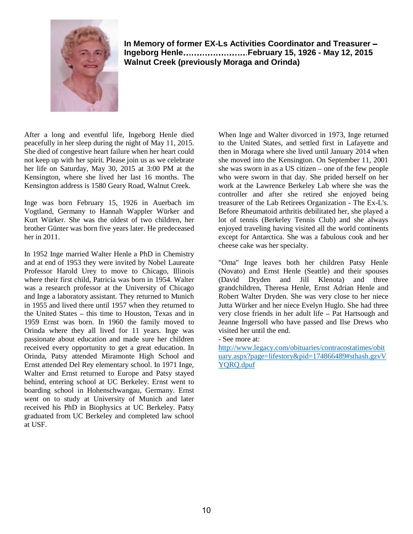

**In Memory of former EX-Ls Activities Coordinator and Treasurer Ingeborg Henle February 15, 1926 - May 12, 2015 Walnut Creek (previously Moraga and Orinda)** 

After a long and eventful life, Ingeborg Henle died peacefully in her sleep during the night of May 11, 2015. She died of congestive heart failure when her heart could not keep up with her spirit. Please join us as we celebrate her life on Saturday, May 30, 2015 at 3:00 PM at the Kensington, where she lived her last 16 months. The Kensington address is 1580 Geary Road, Walnut Creek.

Inge was born February 15, 1926 in Auerbach im Vogtland, Germany to Hannah Wappler Würker and Kurt Würker. She was the oldest of two children, her brother Günter was born five years later. He predeceased her in 2011.

In 1952 Inge married Walter Henle a PhD in Chemistry and at end of 1953 they were invited by Nobel Laureate Professor Harold Urey to move to Chicago, Illinois where their first child, Patricia was born in 1954. Walter was a research professor at the University of Chicago and Inge a laboratory assistant. They returned to Munich in 1955 and lived there until 1957 when they returned to the United States  $-$  this time to Houston, Texas and in 1959 Ernst was born. In 1960 the family moved to Orinda where they all lived for 11 years. Inge was passionate about education and made sure her children received every opportunity to get a great education. In Orinda, Patsy attended Miramonte High School and Ernst attended Del Rey elementary school. In 1971 Inge, Walter and Ernst returned to Europe and Patsy stayed behind, entering school at UC Berkeley. Ernst went to boarding school in Hohenschwangau, Germany. Ernst went on to study at University of Munich and later received his PhD in Biophysics at UC Berkeley. Patsy graduated from UC Berkeley and completed law school at USF.

When Inge and Walter divorced in 1973, Inge returned to the United States, and settled first in Lafayette and then in Moraga where she lived until January 2014 when she moved into the Kensington. On September 11, 2001 she was sworn in as a US citizen  $-$  one of the few people who were sworn in that day. She prided herself on her work at the Lawrence Berkeley Lab where she was the controller and after she retired she enjoyed being treasurer of the Lab Retirees Organization - The Ex-L's. Before Rheumatoid arthritis debilitated her, she played a lot of tennis (Berkeley Tennis Club) and she always enjoyed traveling having visited all the world continents except for Antarctica. She was a fabulous cook and her cheese cake was her specialty.

"Oma" Inge leaves both her children Patsy Henle (Novato) and Ernst Henle (Seattle) and their spouses (David Dryden and Jill Klenota) and three grandchildren, Theresa Henle, Ernst Adrian Henle and Robert Walter Dryden. She was very close to her niece Jutta Würker and her niece Evelyn Huglo. She had three very close friends in her adult life – Pat Hartsough and Jeanne Ingersoll who have passed and Ilse Drews who visited her until the end.

- See more at:

http://www.legacy.com/obituaries/contracostatimes/obit uary.aspx?page=lifestory&pid=174866489#sthash.gzvV YQRQ.dpuf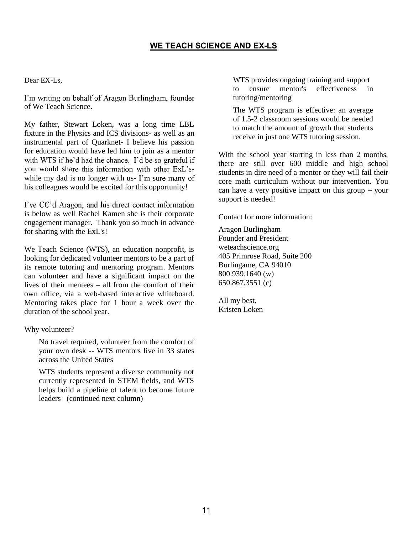#### WE TEACH SCIENCE AND EX-LS

#### Dear EX-Ls,

I'm writing on behalf of Aragon Burlingham, founder of We Teach Science.

My father, Stewart Loken, was a long time LBL fixture in the Physics and ICS divisions- as well as an instrumental part of Quarknet- I believe his passion for education would have led him to join as a mentor with WTS if he'd had the chance. I'd be so grateful if you would share this information with other ExL'swhile my dad is no longer with us- I'm sure many of his colleagues would be excited for this opportunity!

I've CC'd Aragon, and his direct contact information is below as well Rachel Kamen she is their corporate engagement manager. Thank you so much in advance for sharing with the ExL's!

We Teach Science (WTS), an education nonprofit, is looking for dedicated volunteer mentors to be a part of its remote tutoring and mentoring program. Mentors can volunteer and have a significant impact on the lives of their mentees  $-$  all from the comfort of their own office, via a web-based interactive whiteboard. Mentoring takes place for 1 hour a week over the duration of the school year.

#### Why volunteer?

No travel required, volunteer from the comfort of your own desk -- WTS mentors live in 33 states across the United States

WTS students represent a diverse community not currently represented in STEM fields, and WTS helps build a pipeline of talent to become future leaders (continued next column)

WTS provides ongoing training and support to ensure mentor's effectiveness in tutoring/mentoring

The WTS program is effective: an average of 1.5-2 classroom sessions would be needed to match the amount of growth that students receive in just one WTS tutoring session.

With the school year starting in less than 2 months, there are still over 600 middle and high school students in dire need of a mentor or they will fail their core math curriculum without our intervention. You can have a very positive impact on this group  $-$  your support is needed!

Contact for more information:

Aragon Burlingham Founder and President weteachscience.org 405 Primrose Road, Suite 200 Burlingame, CA 94010 800.939.1640 (w) 650.867.3551 (c)

All my best, Kristen Loken